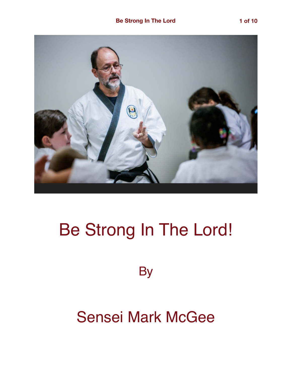

# Be Strong In The Lord!

**By** 

## Sensei Mark McGee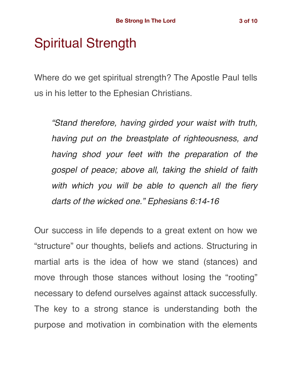### Spiritual Strength

Where do we get spiritual strength? The Apostle Paul tells us in his letter to the Ephesian Christians.

*"Stand therefore, having girded your waist with truth, having put on the breastplate of righteousness, and having shod your feet with the preparation of the gospel of peace; above all, taking the shield of faith with which you will be able to quench all the fiery darts of the wicked one." Ephesians 6:14-16*

Our success in life depends to a great extent on how we "structure" our thoughts, beliefs and actions. Structuring in martial arts is the idea of how we stand (stances) and move through those stances without losing the "rooting" necessary to defend ourselves against attack successfully. The key to a strong stance is understanding both the purpose and motivation in combination with the elements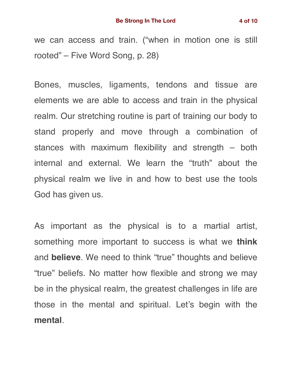we can access and train. ("when in motion one is still rooted" – Five Word Song, p. 28)

Bones, muscles, ligaments, tendons and tissue are elements we are able to access and train in the physical realm. Our stretching routine is part of training our body to stand properly and move through a combination of stances with maximum flexibility and strength – both internal and external. We learn the "truth" about the physical realm we live in and how to best use the tools God has given us.

As important as the physical is to a martial artist, something more important to success is what we **think** and **believe**. We need to think "true" thoughts and believe "true" beliefs. No matter how flexible and strong we may be in the physical realm, the greatest challenges in life are those in the mental and spiritual. Let's begin with the **mental**.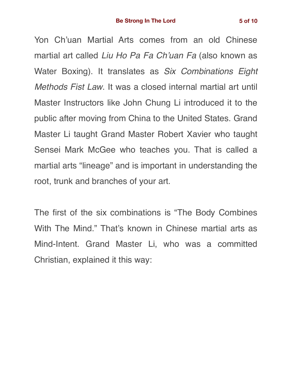Yon Ch'uan Martial Arts comes from an old Chinese martial art called *Liu Ho Pa Fa Ch'uan Fa* (also known as Water Boxing). It translates as *Six Combinations Eight Methods Fist Law*. It was a closed internal martial art until Master Instructors like John Chung Li introduced it to the public after moving from China to the United States. Grand Master Li taught Grand Master Robert Xavier who taught Sensei Mark McGee who teaches you. That is called a martial arts "lineage" and is important in understanding the root, trunk and branches of your art.

The first of the six combinations is "The Body Combines With The Mind." That's known in Chinese martial arts as Mind-Intent. Grand Master Li, who was a committed Christian, explained it this way: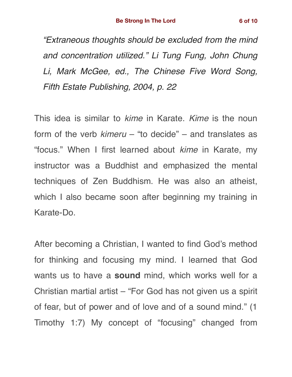*"Extraneous thoughts should be excluded from the mind and concentration utilized." Li Tung Fung, John Chung Li, Mark McGee, ed., The Chinese Five Word Song, Fifth Estate Publishing, 2004, p. 22*

This idea is similar to *kime* in Karate. *Kime* is the noun form of the verb *kimeru* – "to decide" – and translates as "focus." When I first learned about *kime* in Karate, my instructor was a Buddhist and emphasized the mental techniques of Zen Buddhism. He was also an atheist, which I also became soon after beginning my training in Karate-Do.

After becoming a Christian, I wanted to find God's method for thinking and focusing my mind. I learned that God wants us to have a **sound** mind, which works well for a Christian martial artist – "For God has not given us a spirit of fear, but of power and of love and of a sound mind." (1 Timothy 1:7) My concept of "focusing" changed from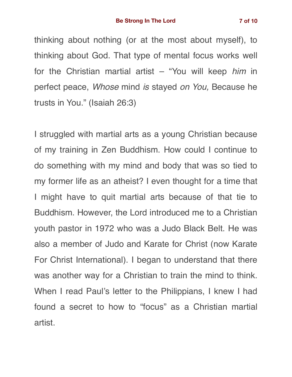thinking about nothing (or at the most about myself), to thinking about God. That type of mental focus works well for the Christian martial artist – "You will keep *him* in perfect peace, *Whose* mind *is* stayed *on You,* Because he trusts in You." (Isaiah 26:3)

I struggled with martial arts as a young Christian because of my training in Zen Buddhism. How could I continue to do something with my mind and body that was so tied to my former life as an atheist? I even thought for a time that I might have to quit martial arts because of that tie to Buddhism. However, the Lord introduced me to a Christian youth pastor in 1972 who was a Judo Black Belt. He was also a member of Judo and Karate for Christ (now Karate For Christ International). I began to understand that there was another way for a Christian to train the mind to think. When I read Paul's letter to the Philippians, I knew I had found a secret to how to "focus" as a Christian martial artist.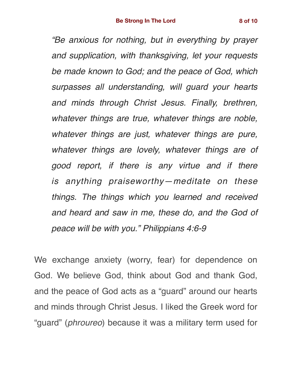*"Be anxious for nothing, but in everything by prayer and supplication, with thanksgiving, let your requests be made known to God; and the peace of God, which surpasses all understanding, will guard your hearts and minds through Christ Jesus. Finally, brethren, whatever things are true, whatever things are noble, whatever things are just, whatever things are pure, whatever things are lovely, whatever things are of good report, if there is any virtue and if there is anything praiseworthy—meditate on these things. The things which you learned and received and heard and saw in me, these do, and the God of peace will be with you." Philippians 4:6-9*

We exchange anxiety (worry, fear) for dependence on God. We believe God, think about God and thank God, and the peace of God acts as a "guard" around our hearts and minds through Christ Jesus. I liked the Greek word for "guard" (*phroureo*) because it was a military term used for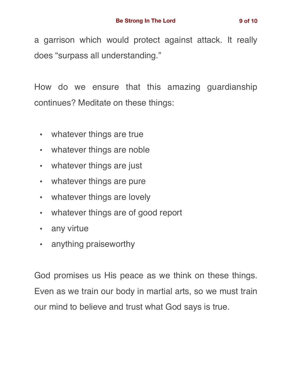a garrison which would protect against attack. It really does "surpass all understanding."

How do we ensure that this amazing guardianship continues? Meditate on these things:

- whatever things are true
- whatever things are noble
- whatever things are just
- whatever things are pure
- whatever things are lovely
- whatever things are of good report
- any virtue
- anything praiseworthy

God promises us His peace as we think on these things. Even as we train our body in martial arts, so we must train our mind to believe and trust what God says is true.